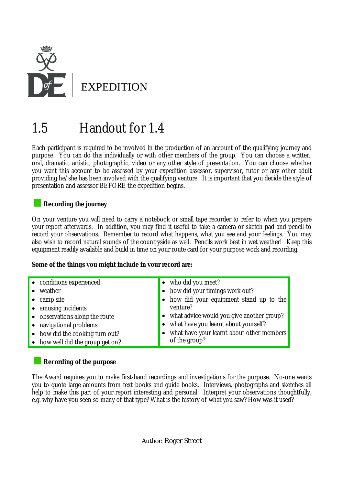

# 1.5 Handout for 1.4

Each participant is required to be involved in the production of an account of the qualifying journey and purpose. You can do this individually or with other members of the group. You can choose a written, oral, dramatic, artistic, photographic, video or any other style of presentation. You can choose whether you want this account to be assessed by your expedition assessor, supervisor, tutor or any other adult providing he/she has been involved with the qualifying venture. It is important that you decide the style of presentation and assessor BEFORE the expedition begins.

## **Recording the journey**

On your venture you will need to carry a notebook or small tape recorder to refer to when you prepare your report afterwards. In addition, you may find it useful to take a camera or sketch pad and pencil to record your observations. Remember to record what happens, what you see and your feelings. You may also wish to record natural sounds of the countryside as well. Pencils work best in wet weather! Keep this equipment readily available and build in time on your route card for your purpose work and recording.

#### **Some of the things you might include in your record are:**

| • conditions experienced         | • who did you meet?                         |
|----------------------------------|---------------------------------------------|
| weather                          | • how did your timings work out?            |
| • camp site                      | • how did your equipment stand up to the    |
| • amusing incidents              | venture?                                    |
| • observations along the route   | • what advice would you give another group? |
| • navigational problems          | • what have you learnt about yourself?      |
| • how did the cooking turn out?  | • what have your learnt about other members |
| • how well did the group get on? | of the group?                               |

## **Recording of the purpose**

The Award requires you to make first-hand recordings and investigations for the purpose. No-one wants you to quote large amounts from text books and guide books. Interviews, photographs and sketches all help to make this part of your report interesting and personal. Interpret your observations thoughtfully, e.g. why have you seen so many of that type? What is the history of what you saw? How was it used?